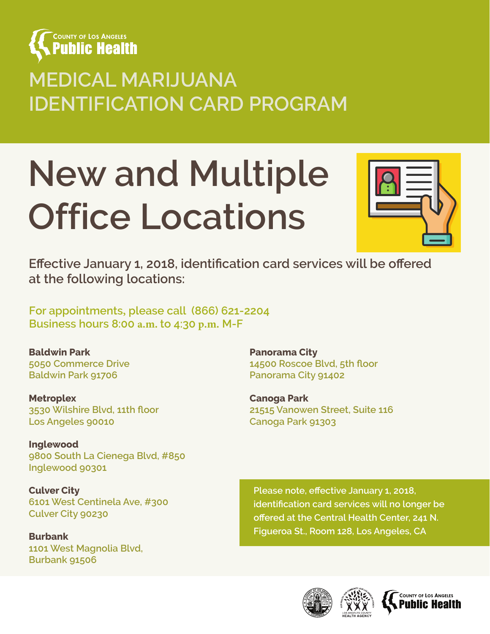

## **MEDICAL MARIJUANA IDENTIFICATION CARD PROGRAM**

# **New and Multiple Office Locations**



**Effective January 1, 2018, identification card services will be offered at the following locations:**

**For appointments, please call (866) 621-2204 Business hours 8:00 a.m. to 4:30 p.m. M-F**

**Baldwin Park 5050 Commerce Drive Baldwin Park 91706**

**Metroplex 3530 Wilshire Blvd, 11th floor Los Angeles 90010**

**Inglewood 9800 South La Cienega Blvd, #850 Inglewood 90301**

**Culver City 6101 West Centinela Ave, #300 Culver City 90230**

**Burbank 1101 West Magnolia Blvd, Burbank 91506**

**Panorama City 14500 Roscoe Blvd, 5th floor Panorama City 91402**

**Canoga Park 21515 Vanowen Street, Suite 116 Canoga Park 91303**

**Please note, effective January 1, 2018, identification card services will no longer be offered at the Central Health Center, 241 N. Figueroa St., Room 128, Los Angeles, CA**





COUNTY OF LOS ANGELES